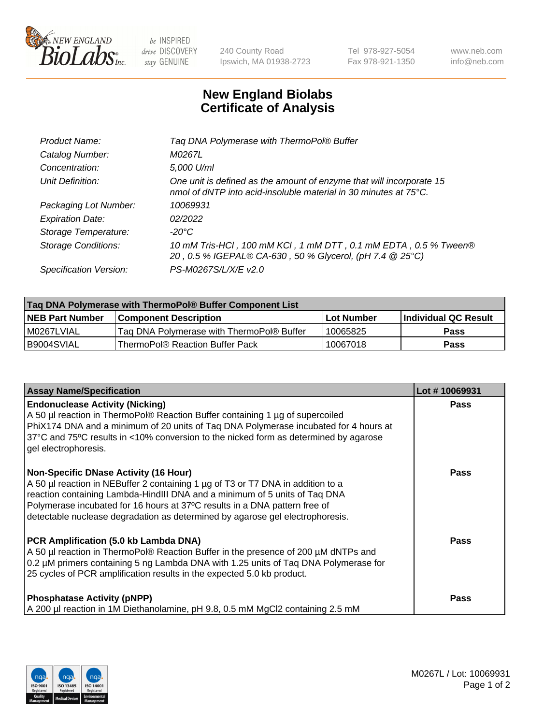

 $be$  INSPIRED drive DISCOVERY stay GENUINE

240 County Road Ipswich, MA 01938-2723 Tel 978-927-5054 Fax 978-921-1350 www.neb.com info@neb.com

## **New England Biolabs Certificate of Analysis**

| Tag DNA Polymerase with ThermoPol® Buffer                                                                                                |
|------------------------------------------------------------------------------------------------------------------------------------------|
| M0267L                                                                                                                                   |
| 5,000 U/ml                                                                                                                               |
| One unit is defined as the amount of enzyme that will incorporate 15<br>nmol of dNTP into acid-insoluble material in 30 minutes at 75°C. |
| 10069931                                                                                                                                 |
| 02/2022                                                                                                                                  |
| $-20^{\circ}$ C                                                                                                                          |
| 10 mM Tris-HCl, 100 mM KCl, 1 mM DTT, 0.1 mM EDTA, 0.5 % Tween®<br>20, 0.5 % IGEPAL® CA-630, 50 % Glycerol, (pH 7.4 @ 25°C)              |
| PS-M0267S/L/X/E v2.0                                                                                                                     |
|                                                                                                                                          |

| ∣Taq DNA Polymerase with ThermoPol® Buffer Component List |                                           |                   |                      |  |
|-----------------------------------------------------------|-------------------------------------------|-------------------|----------------------|--|
| <b>NEB Part Number</b>                                    | <b>Component Description</b>              | <b>Lot Number</b> | Individual QC Result |  |
| I M0267LVIAL                                              | Tag DNA Polymerase with ThermoPol® Buffer | 10065825          | Pass                 |  |
| B9004SVIAL                                                | ThermoPol® Reaction Buffer Pack           | 10067018          | Pass                 |  |

| <b>Assay Name/Specification</b>                                                                                                                                                                                                                                                                                                                                              | Lot #10069931 |
|------------------------------------------------------------------------------------------------------------------------------------------------------------------------------------------------------------------------------------------------------------------------------------------------------------------------------------------------------------------------------|---------------|
| <b>Endonuclease Activity (Nicking)</b><br>A 50 µl reaction in ThermoPol® Reaction Buffer containing 1 µg of supercoiled<br>PhiX174 DNA and a minimum of 20 units of Taq DNA Polymerase incubated for 4 hours at<br>37°C and 75°C results in <10% conversion to the nicked form as determined by agarose<br>gel electrophoresis.                                              | <b>Pass</b>   |
| <b>Non-Specific DNase Activity (16 Hour)</b><br>A 50 µl reaction in NEBuffer 2 containing 1 µg of T3 or T7 DNA in addition to a<br>reaction containing Lambda-HindIII DNA and a minimum of 5 units of Taq DNA<br>Polymerase incubated for 16 hours at 37°C results in a DNA pattern free of<br>detectable nuclease degradation as determined by agarose gel electrophoresis. | <b>Pass</b>   |
| PCR Amplification (5.0 kb Lambda DNA)<br>A 50 µl reaction in ThermoPol® Reaction Buffer in the presence of 200 µM dNTPs and<br>0.2 µM primers containing 5 ng Lambda DNA with 1.25 units of Taq DNA Polymerase for<br>25 cycles of PCR amplification results in the expected 5.0 kb product.                                                                                 | Pass          |
| <b>Phosphatase Activity (pNPP)</b><br>A 200 µl reaction in 1M Diethanolamine, pH 9.8, 0.5 mM MgCl2 containing 2.5 mM                                                                                                                                                                                                                                                         | <b>Pass</b>   |